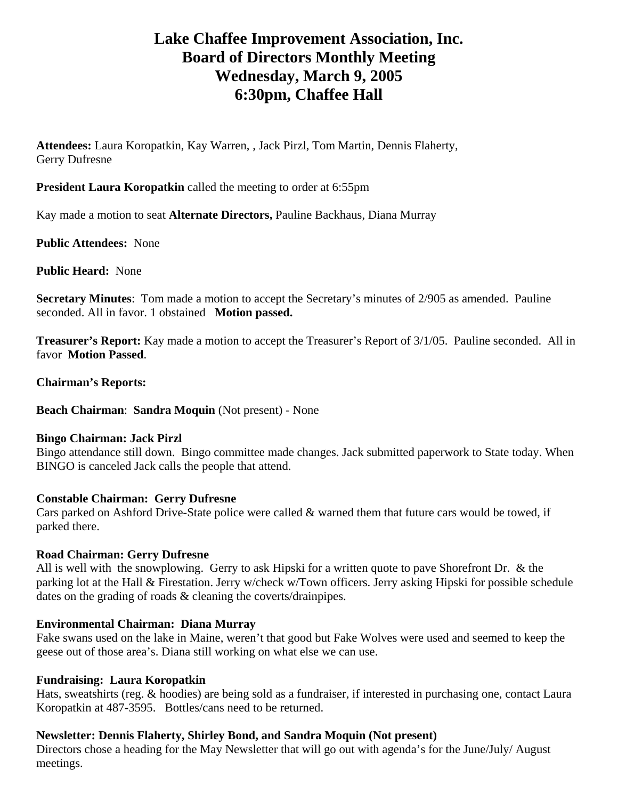# **Lake Chaffee Improvement Association, Inc. Board of Directors Monthly Meeting Wednesday, March 9, 2005 6:30pm, Chaffee Hall**

**Attendees:** Laura Koropatkin, Kay Warren, , Jack Pirzl, Tom Martin, Dennis Flaherty, Gerry Dufresne

**President Laura Koropatkin** called the meeting to order at 6:55pm

Kay made a motion to seat **Alternate Directors,** Pauline Backhaus, Diana Murray

**Public Attendees:** None

**Public Heard:** None

**Secretary Minutes**: Tom made a motion to accept the Secretary's minutes of 2/905 as amended. Pauline seconded. All in favor. 1 obstained **Motion passed.** 

**Treasurer's Report:** Kay made a motion to accept the Treasurer's Report of 3/1/05. Pauline seconded. All in favor **Motion Passed**.

**Chairman's Reports:** 

**Beach Chairman**: **Sandra Moquin** (Not present) - None

#### **Bingo Chairman: Jack Pirzl**

Bingo attendance still down. Bingo committee made changes. Jack submitted paperwork to State today. When BINGO is canceled Jack calls the people that attend.

# **Constable Chairman: Gerry Dufresne**

Cars parked on Ashford Drive-State police were called & warned them that future cars would be towed, if parked there.

# **Road Chairman: Gerry Dufresne**

All is well with the snowplowing. Gerry to ask Hipski for a written quote to pave Shorefront Dr. & the parking lot at the Hall & Firestation. Jerry w/check w/Town officers. Jerry asking Hipski for possible schedule dates on the grading of roads & cleaning the coverts/drainpipes.

# **Environmental Chairman: Diana Murray**

Fake swans used on the lake in Maine, weren't that good but Fake Wolves were used and seemed to keep the geese out of those area's. Diana still working on what else we can use.

#### **Fundraising: Laura Koropatkin**

Hats, sweatshirts (reg. & hoodies) are being sold as a fundraiser, if interested in purchasing one, contact Laura Koropatkin at 487-3595. Bottles/cans need to be returned.

# **Newsletter: Dennis Flaherty, Shirley Bond, and Sandra Moquin (Not present)**

Directors chose a heading for the May Newsletter that will go out with agenda's for the June/July/ August meetings.